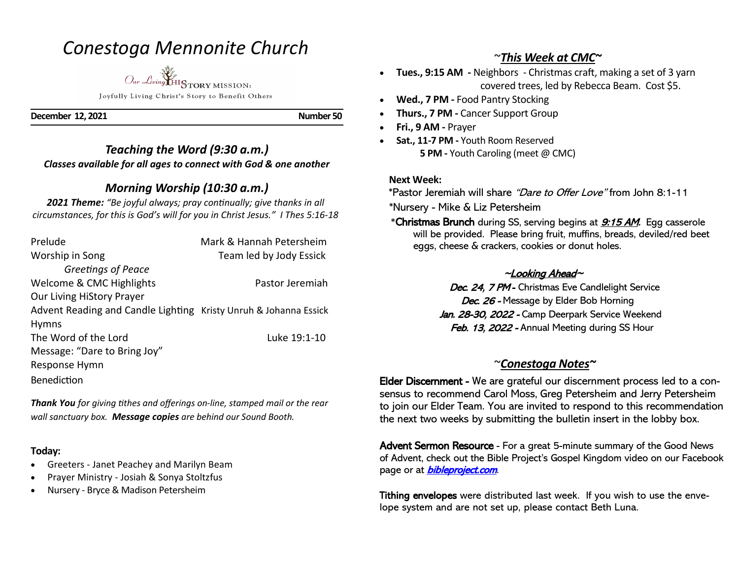## *Conestoga Mennonite Church*

*Our Living* HISTORY MISSION:

Joyfully Living Christ's Story to Benefit Others

**December 12, 2021 Number 50** 

### *Teaching the Word (9:30 a.m.) Classes available for all ages to connect with God & one another*

### *Morning Worship (10:30 a.m.)*

*2021 Theme: "Be joyful always; pray continually; give thanks in all circumstances, for this is God's will for you in Christ Jesus." I Thes 5:16-18*

| Prelude                                                          | Mark & Hannah Petersheim |
|------------------------------------------------------------------|--------------------------|
| Worship in Song                                                  | Team led by Jody Essick  |
| Greetings of Peace                                               |                          |
| Welcome & CMC Highlights                                         | Pastor Jeremiah          |
| <b>Our Living HiStory Prayer</b>                                 |                          |
| Advent Reading and Candle Lighting Kristy Unruh & Johanna Essick |                          |
| <b>Hymns</b>                                                     |                          |
| The Word of the Lord                                             | Luke 19:1-10             |
| Message: "Dare to Bring Joy"                                     |                          |
| Response Hymn                                                    |                          |
| Benediction                                                      |                          |

*Thank You for giving tithes and offerings on-line, stamped mail or the rear wall sanctuary box. Message copies are behind our Sound Booth.*

#### **Today:**

- Greeters Janet Peachey and Marilyn Beam
- Prayer Ministry Josiah & Sonya Stoltzfus
- Nursery Bryce & Madison Petersheim

#### ~*This Week at CMC~*

- **Tues., 9:15 AM -** Neighbors Christmas craft, making a set of 3 yarn covered trees, led by Rebecca Beam. Cost \$5.
- **Wed., 7 PM -** Food Pantry Stocking
- **Thurs., 7 PM -** Cancer Support Group
- **Fri., 9 AM -** Prayer
- **Sat., 11-7 PM -** Youth Room Reserved **5 PM -** Youth Caroling (meet @ CMC)

#### **Next Week:**

\*Pastor Jeremiah will share "Dare to Offer Love" from John 8:1-11

\*Nursery - Mike & Liz Petersheim

\*Christmas Brunch during SS, serving begins at **9:15 AM**. Egg casserole will be provided. Please bring fruit, muffins, breads, deviled/red beet eggs, cheese & crackers, cookies or donut holes.

#### <sup>~</sup>Looking Ahead~

Dec. 24, 7 PM - Christmas Eve Candlelight Service Dec. 26 - Message by Elder Bob Horning Jan. 28-30, 2022 - Camp Deerpark Service Weekend Feb. 13, 2022 - Annual Meeting during SS Hour

#### ~*Conestoga Notes~*

Elder Discernment - We are grateful our discernment process led to a consensus to recommend Carol Moss, Greg Petersheim and Jerry Petersheim to join our Elder Team. You are invited to respond to this recommendation the next two weeks by submitting the bulletin insert in the lobby box.

Advent Sermon Resource - For a great 5-minute summary of the Good News of Advent, check out the Bible Project's Gospel Kingdom video on our Facebook page or at **bibleproject.com**.

Tithing envelopes were distributed last week. If you wish to use the envelope system and are not set up, please contact Beth Luna.